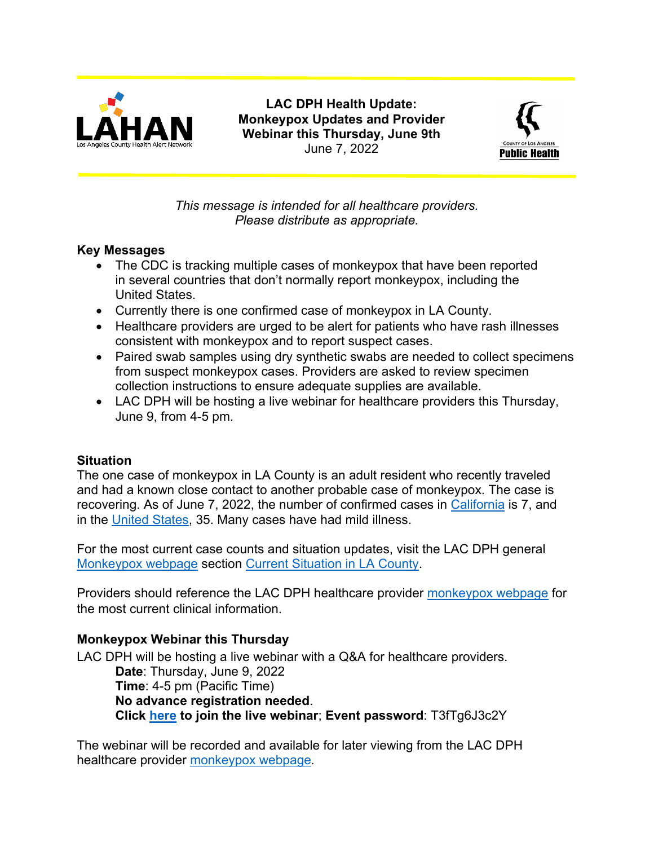

**LAC DPH Health Update: Monkeypox Updates and Provider Webinar this Thursday, June 9th** June 7, 2022



*This message is intended for all healthcare providers. Please distribute as appropriate.*

# **Key Messages**

- The CDC is tracking multiple cases of monkeypox that have been reported in several countries that don't normally report monkeypox, including the United States.
- Currently there is one confirmed case of monkeypox in LA County.
- Healthcare providers are urged to be alert for patients who have rash illnesses consistent with monkeypox and to report suspect cases.
- Paired swab samples using dry synthetic swabs are needed to collect specimens from suspect monkeypox cases. Providers are asked to review specimen collection instructions to ensure adequate supplies are available.
- LAC DPH will be hosting a live webinar for healthcare providers this Thursday, June 9, from 4-5 pm.

#### **Situation**

The one case of monkeypox in LA County is an adult resident who recently traveled and had a known close contact to another probable case of monkeypox. The case is recovering. As of June 7, 2022, the number of confirmed cases in [California](https://www.cdph.ca.gov/Programs/CID/DCDC/Pages/Monkeypox.aspx) is 7, and in the [United States,](https://www.cdc.gov/poxvirus/monkeypox/response/2022/index.html) 35. Many cases have had mild illness.

For the most current case counts and situation updates, visit the LAC DPH general [Monkeypox webpage](http://publichealth.lacounty.gov/media/monkeypox/) section [Current Situation in LA County.](http://publichealth.lacounty.gov/media/monkeypox/#lac)

Providers should reference the LAC DPH healthcare provider [monkeypox webpage](http://publichealth.lacounty.gov/acd/Monkeypox.htm) for the most current clinical information.

# **Monkeypox Webinar this Thursday**

LAC DPH will be hosting a live webinar with a Q&A for healthcare providers. **Date**: Thursday, June 9, 2022 **Time**: 4-5 pm (Pacific Time) **No advance registration needed**. **Click here to join the live webinar**; **Event password**: T3fTg6J3c2Y

The webinar will be recorded and available for later viewing from the LAC DPH healthcare provider [monkeypox webpage](http://publichealth.lacounty.gov/acd/Monkeypox.htm).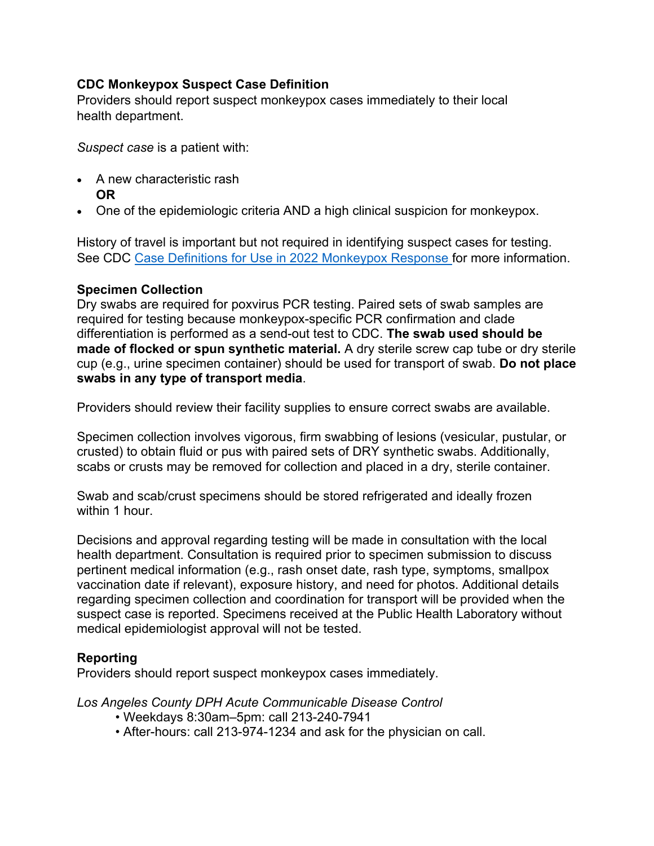### **CDC Monkeypox Suspect Case Definition**

Providers should report suspect monkeypox cases immediately to their local health department.

*Suspect case* is a patient with:

- A new characteristic rash **OR**
- One of the epidemiologic criteria AND a high clinical suspicion for monkeypox.

History of travel is important but not required in identifying suspect cases for testing. See CDC [Case Definitions for Use in 2022 Monkeypox Response](https://www.cdc.gov/poxvirus/monkeypox/clinicians/case-definition.html) for more information.

### **Specimen Collection**

Dry swabs are required for poxvirus PCR testing. Paired sets of swab samples are required for testing because monkeypox-specific PCR confirmation and clade differentiation is performed as a send-out test to CDC. **The swab used should be made of flocked or spun synthetic material.** A dry sterile screw cap tube or dry sterile cup (e.g., urine specimen container) should be used for transport of swab. **Do not place swabs in any type of transport media**.

Providers should review their facility supplies to ensure correct swabs are available.

Specimen collection involves vigorous, firm swabbing of lesions (vesicular, pustular, or crusted) to obtain fluid or pus with paired sets of DRY synthetic swabs. Additionally, scabs or crusts may be removed for collection and placed in a dry, sterile container.

Swab and scab/crust specimens should be stored refrigerated and ideally frozen within 1 hour.

Decisions and approval regarding testing will be made in consultation with the local health department. Consultation is required prior to specimen submission to discuss pertinent medical information (e.g., rash onset date, rash type, symptoms, smallpox vaccination date if relevant), exposure history, and need for photos. Additional details regarding specimen collection and coordination for transport will be provided when the suspect case is reported. Specimens received at the Public Health Laboratory without medical epidemiologist approval will not be tested.

# **Reporting**

Providers should report suspect monkeypox cases immediately.

*Los Angeles County DPH Acute Communicable Disease Control*

- Weekdays 8:30am–5pm: call 213-240-7941
- After-hours: call 213-974-1234 and ask for the physician on call.